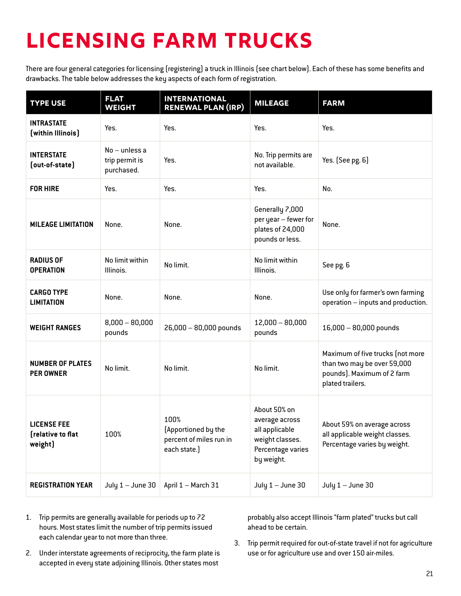# **Licensing Farm Trucks**

There are four general categories for licensing (registering) a truck in Illinois (see chart below). Each of these has some benefits and drawbacks. The table below addresses the key aspects of each form of registration.

| <b>TYPE USE</b>                                    | <b>FLAT</b><br><b>WEIGHT</b>                    | <b>INTERNATIONAL</b><br><b>RENEWAL PLAN (IRP)</b>                      | <b>MILEAGE</b>                                                                                         | <b>FARM</b>                                                                                                       |
|----------------------------------------------------|-------------------------------------------------|------------------------------------------------------------------------|--------------------------------------------------------------------------------------------------------|-------------------------------------------------------------------------------------------------------------------|
| <b>INTRASTATE</b><br>(within Illinois)             | Yes.                                            | Yes.                                                                   | Yes.                                                                                                   | Yes.                                                                                                              |
| <b>INTERSTATE</b><br>(out-of-state)                | $No$ – unless a<br>trip permit is<br>purchased. | Yes.                                                                   | No. Trip permits are<br>not available.                                                                 | Yes. (See pg. 6)                                                                                                  |
| <b>FOR HIRE</b>                                    | Yes.                                            | Yes.                                                                   | Yes.                                                                                                   | No.                                                                                                               |
| <b>MILEAGE LIMITATION</b>                          | None.                                           | None.                                                                  | Generally 7,000<br>per year - fewer for<br>plates of 24,000<br>pounds or less.                         | None.                                                                                                             |
| <b>RADIUS OF</b><br><b>OPERATION</b>               | No limit within<br>Illinois.                    | No limit.                                                              | No limit within<br>Illinois.                                                                           | See pg. 6                                                                                                         |
| <b>CARGO TYPE</b><br><b>LIMITATION</b>             | None.                                           | None.                                                                  | None.                                                                                                  | Use only for farmer's own farming<br>operation - inputs and production.                                           |
| <b>WEIGHT RANGES</b>                               | $8,000 - 80,000$<br>pounds                      | 26,000 - 80,000 pounds                                                 | $12,000 - 80,000$<br>pounds                                                                            | $16,000 - 80,000$ pounds                                                                                          |
| <b>NUMBER OF PLATES</b><br><b>PER OWNER</b>        | No limit.                                       | No limit.                                                              | No limit.                                                                                              | Maximum of five trucks (not more<br>than two may be over 59,000<br>pounds). Maximum of 2 farm<br>plated trailers. |
| <b>LICENSE FEE</b><br>[relative to flat<br>weight) | 100%                                            | 100%<br>(Apportioned by the<br>percent of miles run in<br>each state.) | About 50% on<br>average across<br>all applicable<br>weight classes.<br>Percentage varies<br>by weight. | About 59% on average across<br>all applicable weight classes.<br>Percentage varies by weight.                     |
| <b>REGISTRATION YEAR</b>                           | July $1 -$ June 30                              | April 1 - March 31                                                     | July $1 -$ June 30                                                                                     | July $1 -$ June 30                                                                                                |

- 1. Trip permits are generally available for periods up to 72 hours. Most states limit the number of trip permits issued each calendar year to not more than three.
- 2. Under interstate agreements of reciprocity, the farm plate is accepted in every state adjoining Illinois. Other states most

probably also accept Illinois "farm plated" trucks but call ahead to be certain.

3. Trip permit required for out-of-state travel if not for agriculture use or for agriculture use and over 150 air-miles.